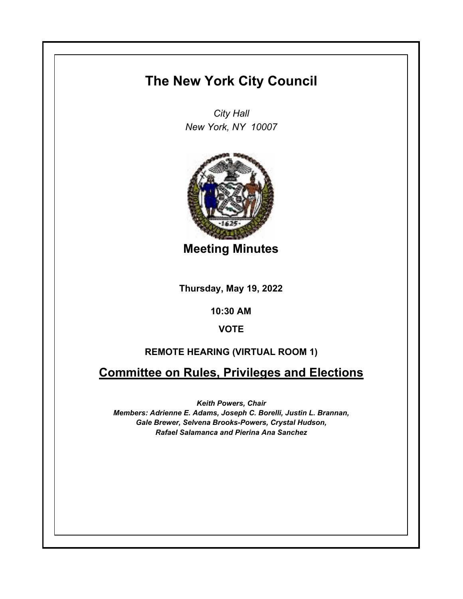## **The New York City Council**

*City Hall New York, NY 10007*



**Meeting Minutes**

**Thursday, May 19, 2022**

**10:30 AM**

## **VOTE**

## **REMOTE HEARING (VIRTUAL ROOM 1)**

**Committee on Rules, Privileges and Elections**

*Keith Powers, Chair*

*Members: Adrienne E. Adams, Joseph C. Borelli, Justin L. Brannan, Gale Brewer, Selvena Brooks-Powers, Crystal Hudson, Rafael Salamanca and Pierina Ana Sanchez*